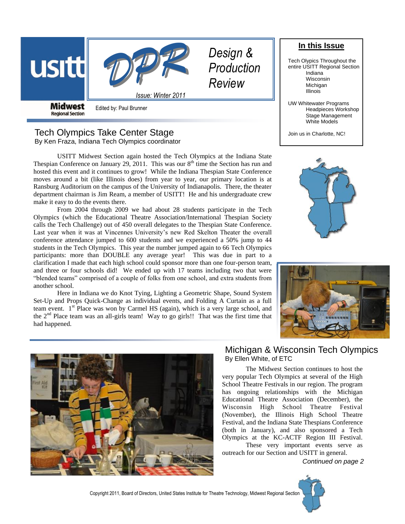

**Regional Section** 

Edited by: Paul Brunner

## Tech Olympics Take Center Stage By Ken Fraza, Indiana Tech Olympics coordinator

USITT Midwest Section again hosted the Tech Olympics at the Indiana State Thespian Conference on January 29, 2011. This was our  $8<sup>th</sup>$  time the Section has run and hosted this event and it continues to grow! While the Indiana Thespian State Conference moves around a bit (like Illinois does) from year to year, our primary location is at Ransburg Auditorium on the campus of the University of Indianapolis. There, the theater department chairman is Jim Ream, a member of USITT! He and his undergraduate crew make it easy to do the events there.

From 2004 through 2009 we had about 28 students participate in the Tech Olympics (which the Educational Theatre Association/International Thespian Society calls the Tech Challenge) out of 450 overall delegates to the Thespian State Conference. Last year when it was at Vincennes University's new Red Skelton Theater the overall conference attendance jumped to 600 students and we experienced a 50% jump to 44 students in the Tech Olympics. This year the number jumped again to 66 Tech Olympics participants: more than DOUBLE any average year! This was due in part to a clarification I made that each high school could sponsor more than one four-person team, and three or four schools did! We ended up with 17 teams including two that were "blended teams" comprised of a couple of folks from one school, and extra students from another school.

Here in Indiana we do Knot Tying, Lighting a Geometric Shape, Sound System Set-Up and Props Quick-Change as individual events, and Folding A Curtain as a full team event. 1<sup>st</sup> Place was won by Carmel HS (again), which is a very large school, and the  $2<sup>nd</sup>$  Place team was an all-girls team! Way to go girls!! That was the first time that had happened.









# Michigan & Wisconsin Tech Olympics By Ellen White, of ETC

The Midwest Section continues to host the very popular Tech Olympics at several of the High School Theatre Festivals in our region. The program has ongoing relationships with the Michigan Educational Theatre Association (December), the Wisconsin High School Theatre Festival (November), the Illinois High School Theatre Festival, and the Indiana State Thespians Conference (both in January), and also sponsored a Tech Olympics at the KC-ACTF Region III Festival. These very important events serve as

outreach for our Section and USITT in general.

*Continued on page 2*



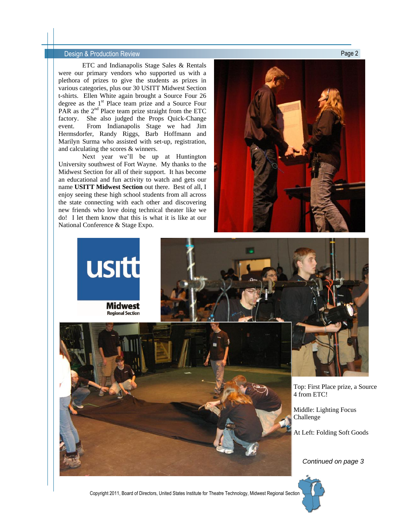### Design & Production Review Page 2

ETC and Indianapolis Stage Sales & Rentals were our primary vendors who supported us with a plethora of prizes to give the students as prizes in various categories, plus our 30 USITT Midwest Section t-shirts. Ellen White again brought a Source Four 26 degree as the 1<sup>st</sup> Place team prize and a Source Four PAR as the  $2<sup>nd</sup>$  Place team prize straight from the ETC factory. She also judged the Props Quick-Change event. From Indianapolis Stage we had Jim Hermsdorfer, Randy Riggs, Barb Hoffmann and Marilyn Surma who assisted with set-up, registration, and calculating the scores & winners.

Next year we'll be up at Huntington University southwest of Fort Wayne. My thanks to the Midwest Section for all of their support. It has become an educational and fun activity to watch and gets our name **USITT Midwest Section** out there. Best of all, I enjoy seeing these high school students from all across the state connecting with each other and discovering new friends who love doing technical theater like we do! I let them know that this is what it is like at our National Conference & Stage Expo.



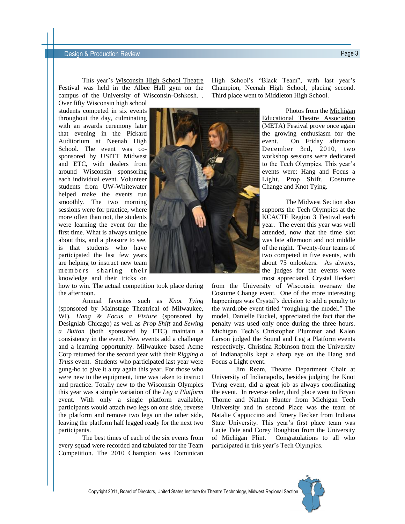#### **Design & Production Review Page 3 Design & Production Review**

This year's Wisconsin High School Theatre Festival was held in the Albee Hall gym on the campus of the University of Wisconsin-Oshkosh. .

Over fifty Wisconsin high school students competed in six events throughout the day, culminating with an awards ceremony later that evening in the Pickard Auditorium at Neenah High School. The event was cosponsored by USITT Midwest and ETC, with dealers from around Wisconsin sponsoring each individual event. Volunteer students from UW-Whitewater helped make the events run smoothly. The two morning sessions were for practice, where more often than not, the students were learning the event for the first time. What is always unique about this, and a pleasure to see, is that students who have participated the last few years are helping to instruct new team members sharing their knowledge and their tricks on

how to win. The actual competition took place during the afternoon.

Annual favorites such as *Knot Tying* (sponsored by Mainstage Theatrical of Milwaukee, WI), *Hang & Focus a Fixture* (sponsored by Designlab Chicago) as well as *Prop Shift* and *Sewing a Button* (both sponsored by ETC) maintain a consistency in the event. New events add a challenge and a learning opportunity. Milwaukee based Acme Corp returned for the second year with their *Rigging a Truss* event. Students who participated last year were gung-ho to give it a try again this year. For those who were new to the equipment, time was taken to instruct and practice. Totally new to the Wisconsin Olympics this year was a simple variation of the *Leg a Platform* event. With only a single platform available, participants would attach two legs on one side, reverse the platform and remove two legs on the other side, leaving the platform half legged ready for the next two participants.

The best times of each of the six events from every squad were recorded and tabulated for the Team Competition. The 2010 Champion was Dominican High School's "Black Team", with last year's Champion, Neenah High School, placing second. Third place went to Middleton High School.

> Photos from the Michigan Educational Theatre Association (META) Festival prove once again the growing enthusiasm for the event. On Friday afternoon December 3rd, 2010, two workshop sessions were dedicated to the Tech Olympics. This year's events were: Hang and Focus a Light, Prop Shift, Costume Change and Knot Tying.

> The Midwest Section also supports the Tech Olympics at the KCACTF Region 3 Festival each year. The event this year was well attended, now that the time slot was late afternoon and not middle of the night. Twenty-four teams of two competed in five events, with about 75 onlookers. As always, the judges for the events were most appreciated. Crystal Heckert

from the University of Wisconsin oversaw the Costume Change event. One of the more interesting happenings was Crystal's decision to add a penalty to the wardrobe event titled "roughing the model." The model, Danielle Buckel, appreciated the fact that the penalty was used only once during the three hours. Michigan Tech's Christopher Plummer and Kalen Larson judged the Sound and Leg a Platform events respectively. Christina Robinson from the University of Indianapolis kept a sharp eye on the Hang and Focus a Light event.

Jim Ream, Theatre Department Chair at University of Indianapolis, besides judging the Knot Tying event, did a great job as always coordinating the event. In reverse order, third place went to Bryan Thorne and Nathan Hunter from Michigan Tech University and in second Place was the team of Natalie Cappuccino and Emery Becker from Indiana State University. This year's first place team was Lacie Tate and Corey Boughton from the University of Michigan Flint. Congratulations to all who participated in this year's Tech Olympics.

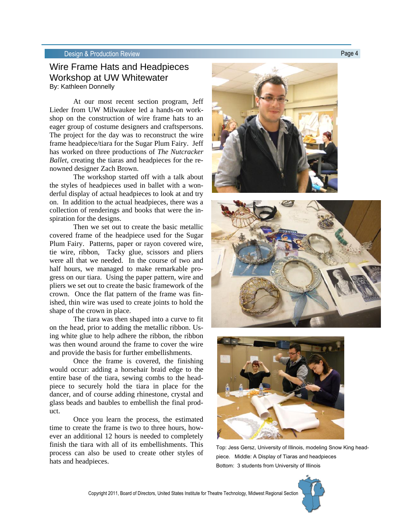#### **Design & Production Review Page 4 Page 4**

## Wire Frame Hats and Headpieces Workshop at UW Whitewater By: Kathleen Donnelly

At our most recent section program, Jeff Lieder from UW Milwaukee led a hands-on workshop on the construction of wire frame hats to an eager group of costume designers and craftspersons. The project for the day was to reconstruct the wire frame headpiece/tiara for the Sugar Plum Fairy. Jeff has worked on three productions of *The Nutcracker Ballet*, creating the tiaras and headpieces for the renowned designer Zach Brown.

The workshop started off with a talk about the styles of headpieces used in ballet with a wonderful display of actual headpieces to look at and try on. In addition to the actual headpieces, there was a collection of renderings and books that were the inspiration for the designs.

Then we set out to create the basic metallic covered frame of the headpiece used for the Sugar Plum Fairy. Patterns, paper or rayon covered wire, tie wire, ribbon, Tacky glue, scissors and pliers were all that we needed. In the course of two and half hours, we managed to make remarkable progress on our tiara. Using the paper pattern, wire and pliers we set out to create the basic framework of the crown. Once the flat pattern of the frame was finished, thin wire was used to create joints to hold the shape of the crown in place.

The tiara was then shaped into a curve to fit on the head, prior to adding the metallic ribbon. Using white glue to help adhere the ribbon, the ribbon was then wound around the frame to cover the wire and provide the basis for further embellishments.

Once the frame is covered, the finishing would occur: adding a horsehair braid edge to the entire base of the tiara, sewing combs to the headpiece to securely hold the tiara in place for the dancer, and of course adding rhinestone, crystal and glass beads and baubles to embellish the final product.

Once you learn the process, the estimated time to create the frame is two to three hours, however an additional 12 hours is needed to completely finish the tiara with all of its embellishments. This process can also be used to create other styles of hats and headpieces.







Top: Jess Gersz, University of Illinois, modeling Snow King headpiece. Middle: A Display of Tiaras and headpieces Bottom: 3 students from University of Illinois

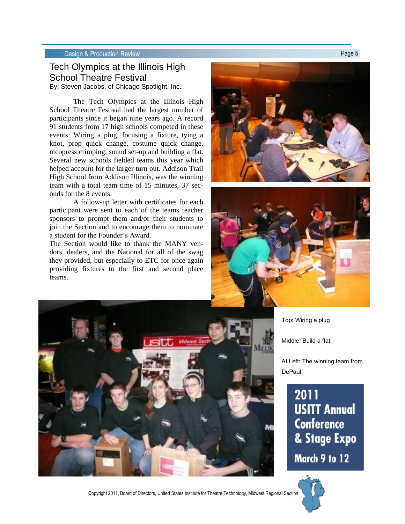### Design & Production Review **Page 5**

# Tech Olympics at the Illinois High School Theatre Festival

By: Steven Jacobs, of Chicago Spotlight, Inc.

The Tech Olympics at the Illinois High School Theatre Festival had the largest number of participants since it began nine years ago. A record 91 students from 17 high schools competed in these events: Wiring a plug, focusing a fixture, tying a knot, prop quick change, costume quick change, nicopress crimping, sound set-up and building a flat. Several new schools fielded teams this year which helped account for the larger turn out. Addison Trail High School from Addison Illinois, was the winning team with a total team time of 15 minutes, 37 seconds for the 8 events.

A follow-up letter with certificates for each participant were sent to each of the teams teacher sponsors to prompt them and/or their students to join the Section and to encourage them to nominate a student for the Founder's Award.

The Section would like to thank the MANY vendors, dealers, and the National for all of the swag they provided, but especially to ETC for once again providing fixtures to the first and second place teams.





Top: Wiring a plug

Middle: Build a flat!

At Left: The winning team from DePaul.

# 2011 **USITT Annual Conference** & Stage Expo

March 9 to 12



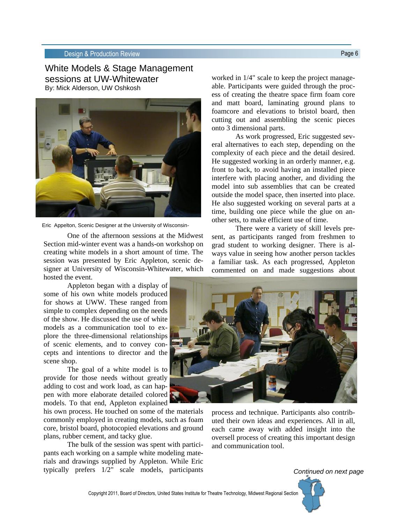### Design & Production Review **Page 6** and **Production Review** Page 6

White Models & Stage Management sessions at UW-Whitewater By: Mick Alderson, UW Oshkosh



Eric Appelton, Scenic Designer at the University of Wisconsin-

One of the afternoon sessions at the Midwest Section mid-winter event was a hands-on workshop on creating white models in a short amount of time. The session was presented by Eric Appleton, scenic designer at University of Wisconsin-Whitewater, which hosted the event.

Appleton began with a display of some of his own white models produced for shows at UWW. These ranged from simple to complex depending on the needs of the show. He discussed the use of white models as a communication tool to explore the three-dimensional relationships of scenic elements, and to convey concepts and intentions to director and the scene shop.

The goal of a white model is to provide for those needs without greatly adding to cost and work load, as can happen with more elaborate detailed colored models. To that end, Appleton explained

his own process. He touched on some of the materials commonly employed in creating models, such as foam core, bristol board, photocopied elevations and ground plans, rubber cement, and tacky glue.

The bulk of the session was spent with participants each working on a sample white modeling materials and drawings supplied by Appleton. While Eric typically prefers 1/2" scale models, participants

worked in 1/4" scale to keep the project manageable. Participants were guided through the process of creating the theatre space firm foam core and matt board, laminating ground plans to foamcore and elevations to bristol board, then cutting out and assembling the scenic pieces onto 3 dimensional parts.

As work progressed, Eric suggested several alternatives to each step, depending on the complexity of each piece and the detail desired. He suggested working in an orderly manner, e.g. front to back, to avoid having an installed piece interfere with placing another, and dividing the model into sub assemblies that can be created outside the model space, then inserted into place. He also suggested working on several parts at a time, building one piece while the glue on another sets, to make efficient use of time.

There were a variety of skill levels present, as participants ranged from freshmen to grad student to working designer. There is always value in seeing how another person tackles a familiar task. As each progressed, Appleton commented on and made suggestions about



process and technique. Participants also contributed their own ideas and experiences. All in all, each came away with added insight into the oversell process of creating this important design and communication tool.

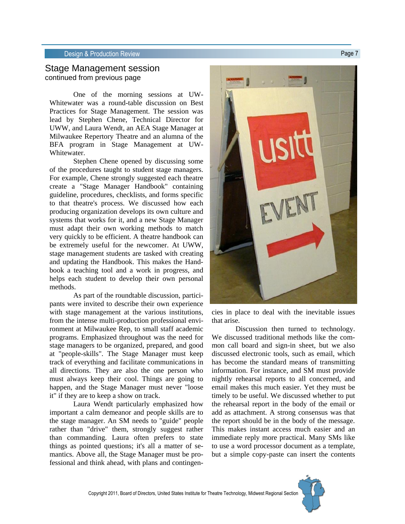### Design & Production Review **Page 7** and the page 7 and the page 7 and the page 7 and the page 7

### Stage Management session continued from previous page

One of the morning sessions at UW-Whitewater was a round-table discussion on Best Practices for Stage Management. The session was lead by Stephen Chene, Technical Director for UWW, and Laura Wendt, an AEA Stage Manager at Milwaukee Repertory Theatre and an alumna of the BFA program in Stage Management at UW-Whitewater.

Stephen Chene opened by discussing some of the procedures taught to student stage managers. For example, Chene strongly suggested each theatre create a "Stage Manager Handbook" containing guideline, procedures, checklists, and forms specific to that theatre's process. We discussed how each producing organization develops its own culture and systems that works for it, and a new Stage Manager must adapt their own working methods to match very quickly to be efficient. A theatre handbook can be extremely useful for the newcomer. At UWW, stage management students are tasked with creating and updating the Handbook. This makes the Handbook a teaching tool and a work in progress, and helps each student to develop their own personal methods.

As part of the roundtable discussion, participants were invited to describe their own experience with stage management at the various institutions, from the intense multi-production professional environment at Milwaukee Rep, to small staff academic programs. Emphasized throughout was the need for stage managers to be organized, prepared, and good at "people-skills". The Stage Manager must keep track of everything and facilitate communications in all directions. They are also the one person who must always keep their cool. Things are going to happen, and the Stage Manager must never "loose it" if they are to keep a show on track.

Laura Wendt particularly emphasized how important a calm demeanor and people skills are to the stage manager. An SM needs to "guide" people rather than "drive" them, strongly suggest rather than commanding. Laura often prefers to state things as pointed questions; it's all a matter of semantics. Above all, the Stage Manager must be professional and think ahead, with plans and contingen-



cies in place to deal with the inevitable issues that arise.

Discussion then turned to technology. We discussed traditional methods like the common call board and sign-in sheet, but we also discussed electronic tools, such as email, which has become the standard means of transmitting information. For instance, and SM must provide nightly rehearsal reports to all concerned, and email makes this much easier. Yet they must be timely to be useful. We discussed whether to put the rehearsal report in the body of the email or add as attachment. A strong consensus was that the report should be in the body of the message. This makes instant access much easier and an immediate reply more practical. Many SMs like to use a word processor document as a template, but a simple copy-paste can insert the contents